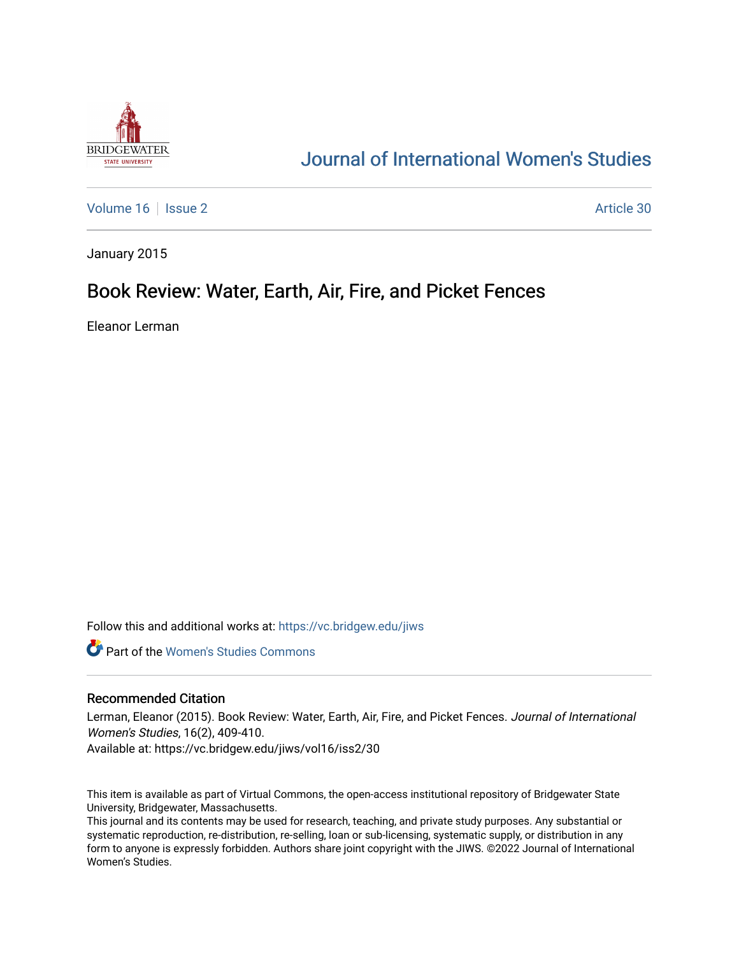

# [Journal of International Women's Studies](https://vc.bridgew.edu/jiws)

[Volume 16](https://vc.bridgew.edu/jiws/vol16) | [Issue 2](https://vc.bridgew.edu/jiws/vol16/iss2) Article 30

January 2015

## Book Review: Water, Earth, Air, Fire, and Picket Fences

Eleanor Lerman

Follow this and additional works at: [https://vc.bridgew.edu/jiws](https://vc.bridgew.edu/jiws?utm_source=vc.bridgew.edu%2Fjiws%2Fvol16%2Fiss2%2F30&utm_medium=PDF&utm_campaign=PDFCoverPages)

**C** Part of the Women's Studies Commons

## Recommended Citation

Lerman, Eleanor (2015). Book Review: Water, Earth, Air, Fire, and Picket Fences. Journal of International Women's Studies, 16(2), 409-410.

Available at: https://vc.bridgew.edu/jiws/vol16/iss2/30

This item is available as part of Virtual Commons, the open-access institutional repository of Bridgewater State University, Bridgewater, Massachusetts.

This journal and its contents may be used for research, teaching, and private study purposes. Any substantial or systematic reproduction, re-distribution, re-selling, loan or sub-licensing, systematic supply, or distribution in any form to anyone is expressly forbidden. Authors share joint copyright with the JIWS. ©2022 Journal of International Women's Studies.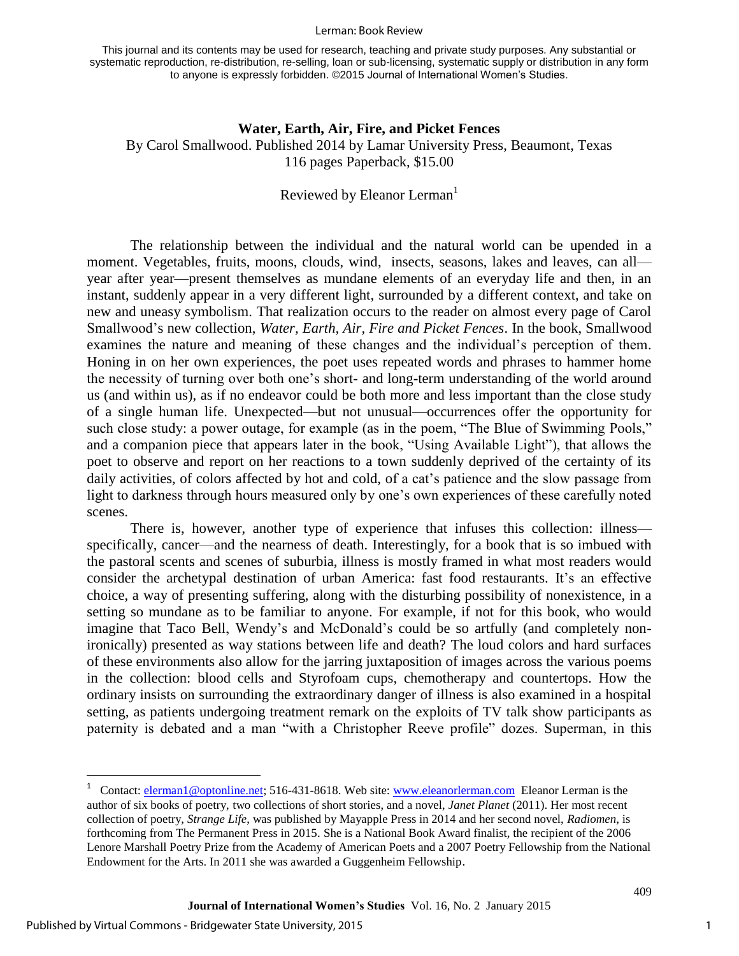#### Lerman: Book Review

This journal and its contents may be used for research, teaching and private study purposes. Any substantial or systematic reproduction, re-distribution, re-selling, loan or sub-licensing, systematic supply or distribution in any form to anyone is expressly forbidden. ©2015 Journal of International Women's Studies.

## **Water, Earth, Air, Fire, and Picket Fences** By Carol Smallwood. Published 2014 by Lamar University Press, Beaumont, Texas

116 pages Paperback, \$15.00

## Reviewed by Eleanor Lerman<sup>1</sup>

The relationship between the individual and the natural world can be upended in a moment. Vegetables, fruits, moons, clouds, wind, insects, seasons, lakes and leaves, can all year after year—present themselves as mundane elements of an everyday life and then, in an instant, suddenly appear in a very different light, surrounded by a different context, and take on new and uneasy symbolism. That realization occurs to the reader on almost every page of Carol Smallwood's new collection, *Water, Earth, Air, Fire and Picket Fences*. In the book, Smallwood examines the nature and meaning of these changes and the individual's perception of them. Honing in on her own experiences, the poet uses repeated words and phrases to hammer home the necessity of turning over both one's short- and long-term understanding of the world around us (and within us), as if no endeavor could be both more and less important than the close study of a single human life. Unexpected—but not unusual—occurrences offer the opportunity for such close study: a power outage, for example (as in the poem, "The Blue of Swimming Pools," and a companion piece that appears later in the book, "Using Available Light"), that allows the poet to observe and report on her reactions to a town suddenly deprived of the certainty of its daily activities, of colors affected by hot and cold, of a cat's patience and the slow passage from light to darkness through hours measured only by one's own experiences of these carefully noted scenes.

There is, however, another type of experience that infuses this collection: illness specifically, cancer—and the nearness of death. Interestingly, for a book that is so imbued with the pastoral scents and scenes of suburbia, illness is mostly framed in what most readers would consider the archetypal destination of urban America: fast food restaurants. It's an effective choice, a way of presenting suffering, along with the disturbing possibility of nonexistence, in a setting so mundane as to be familiar to anyone. For example, if not for this book, who would imagine that Taco Bell, Wendy's and McDonald's could be so artfully (and completely nonironically) presented as way stations between life and death? The loud colors and hard surfaces of these environments also allow for the jarring juxtaposition of images across the various poems in the collection: blood cells and Styrofoam cups, chemotherapy and countertops. How the ordinary insists on surrounding the extraordinary danger of illness is also examined in a hospital setting, as patients undergoing treatment remark on the exploits of TV talk show participants as paternity is debated and a man "with a Christopher Reeve profile" dozes. Superman, in this

 $\overline{a}$ 

409

<sup>1</sup> Contact: [elerman1@optonline.net;](mailto:elerman1@optonline.net) 516-431-8618. Web site: [www.eleanorlerman.com](http://www.eleanorlerman.com/) Eleanor Lerman is the author of six books of poetry, two collections of short stories, and a novel, *Janet Planet* (2011). Her most recent collection of poetry, *Strange Life*, was published by Mayapple Press in 2014 and her second novel, *Radiomen*, is forthcoming from The Permanent Press in 2015. She is a National Book Award finalist, the recipient of the 2006 Lenore Marshall Poetry Prize from the Academy of American Poets and a 2007 Poetry Fellowship from the National Endowment for the Arts. In 2011 she was awarded a Guggenheim Fellowship.